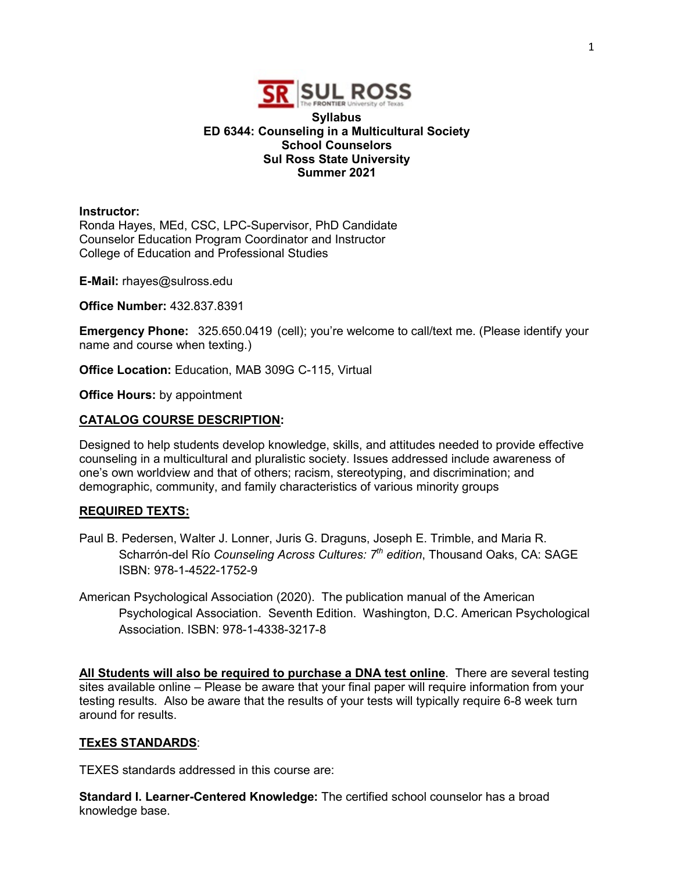

## **Syllabus ED 6344: Counseling in a Multicultural Society School Counselors Sul Ross State University Summer 2021**

#### **Instructor:**

Ronda Hayes, MEd, CSC, LPC-Supervisor, PhD Candidate Counselor Education Program Coordinator and Instructor College of Education and Professional Studies

**E-Mail:** rhayes@sulross.edu

**Office Number:** 432.837.8391

**Emergency Phone:** 325.650.0419 (cell); you're welcome to call/text me. (Please identify your name and course when texting.)

**Office Location:** Education, MAB 309G C-115, Virtual

**Office Hours:** by appointment

#### **CATALOG COURSE DESCRIPTION:**

Designed to help students develop knowledge, skills, and attitudes needed to provide effective counseling in a multicultural and pluralistic society. Issues addressed include awareness of one's own worldview and that of others; racism, stereotyping, and discrimination; and demographic, community, and family characteristics of various minority groups

#### **REQUIRED TEXTS:**

- Paul B. Pedersen, Walter J. Lonner, Juris G. Draguns, Joseph E. Trimble, and Maria R. Scharrón-del Río *Counseling Across Cultures: 7th edition*, Thousand Oaks, CA: SAGE ISBN: 978-1-4522-1752-9
- American Psychological Association (2020). The publication manual of the American Psychological Association. Seventh Edition. Washington, D.C. American Psychological Association. ISBN: 978-1-4338-3217-8

**All Students will also be required to purchase a DNA test online**. There are several testing sites available online – Please be aware that your final paper will require information from your testing results. Also be aware that the results of your tests will typically require 6-8 week turn around for results.

#### **TExES STANDARDS**:

TEXES standards addressed in this course are:

**Standard I. Learner-Centered Knowledge:** The certified school counselor has a broad knowledge base.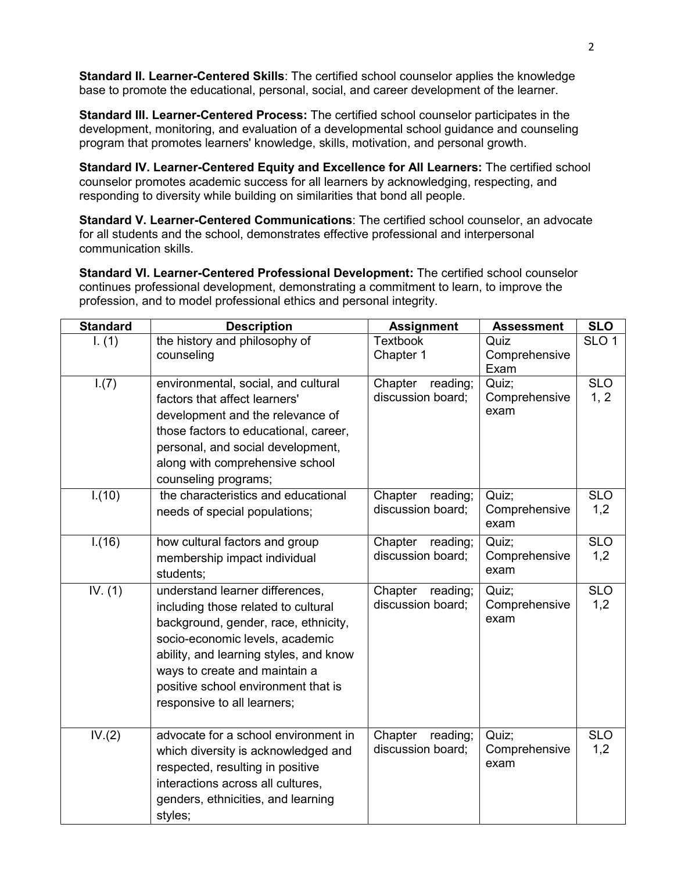**Standard II. Learner-Centered Skills**: The certified school counselor applies the knowledge base to promote the educational, personal, social, and career development of the learner.

**Standard III. Learner-Centered Process:** The certified school counselor participates in the development, monitoring, and evaluation of a developmental school guidance and counseling program that promotes learners' knowledge, skills, motivation, and personal growth.

**Standard IV. Learner-Centered Equity and Excellence for All Learners:** The certified school counselor promotes academic success for all learners by acknowledging, respecting, and responding to diversity while building on similarities that bond all people.

**Standard V. Learner-Centered Communications**: The certified school counselor, an advocate for all students and the school, demonstrates effective professional and interpersonal communication skills.

**Standard VI. Learner-Centered Professional Development:** The certified school counselor continues professional development, demonstrating a commitment to learn, to improve the profession, and to model professional ethics and personal integrity.

| <b>Standard</b> | <b>Description</b>                                                                                                                                                                                                                                                                                 | <b>Assignment</b>                        | <b>Assessment</b>              | <b>SLO</b>         |
|-----------------|----------------------------------------------------------------------------------------------------------------------------------------------------------------------------------------------------------------------------------------------------------------------------------------------------|------------------------------------------|--------------------------------|--------------------|
| 1. (1)          | the history and philosophy of<br>counseling                                                                                                                                                                                                                                                        | <b>Textbook</b><br>Chapter 1             | Quiz<br>Comprehensive<br>Exam  | SLO <sub>1</sub>   |
| 1.(7)           | environmental, social, and cultural<br>factors that affect learners'<br>development and the relevance of<br>those factors to educational, career,<br>personal, and social development,<br>along with comprehensive school<br>counseling programs;                                                  | Chapter<br>reading;<br>discussion board; | Quiz;<br>Comprehensive<br>exam | <b>SLO</b><br>1, 2 |
| 1.(10)          | the characteristics and educational<br>needs of special populations;                                                                                                                                                                                                                               | Chapter<br>reading;<br>discussion board; | Quiz;<br>Comprehensive<br>exam | <b>SLO</b><br>1,2  |
| 1.(16)          | how cultural factors and group<br>membership impact individual<br>students;                                                                                                                                                                                                                        | Chapter<br>reading;<br>discussion board; | Quiz:<br>Comprehensive<br>exam | <b>SLO</b><br>1,2  |
| IV. $(1)$       | understand learner differences,<br>including those related to cultural<br>background, gender, race, ethnicity,<br>socio-economic levels, academic<br>ability, and learning styles, and know<br>ways to create and maintain a<br>positive school environment that is<br>responsive to all learners; | Chapter<br>reading;<br>discussion board; | Quiz;<br>Comprehensive<br>exam | <b>SLO</b><br>1,2  |
| IV.(2)          | advocate for a school environment in<br>which diversity is acknowledged and<br>respected, resulting in positive<br>interactions across all cultures,<br>genders, ethnicities, and learning<br>styles;                                                                                              | Chapter<br>reading;<br>discussion board; | Quiz;<br>Comprehensive<br>exam | <b>SLO</b><br>1,2  |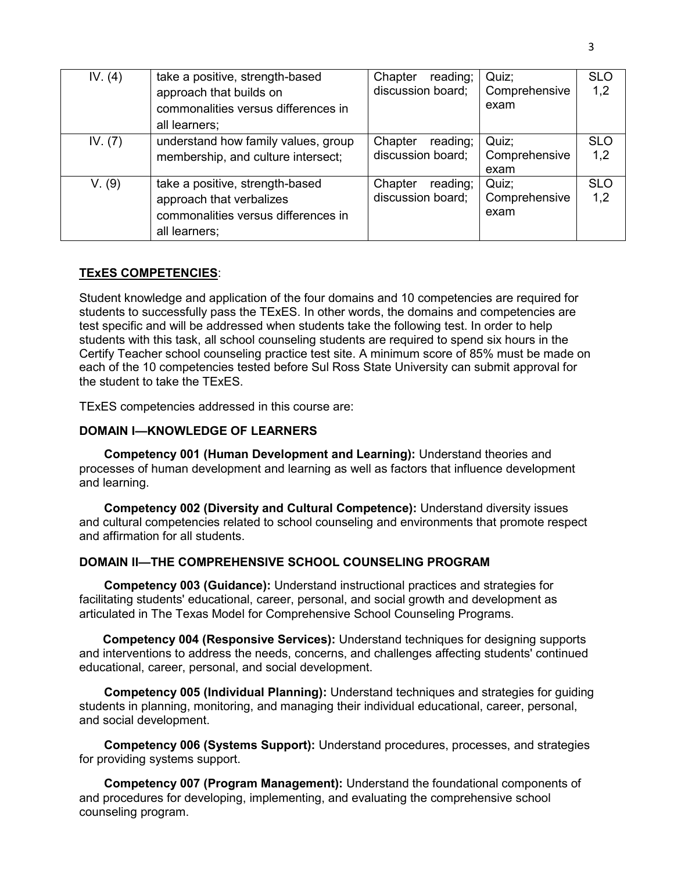| IV. $(4)$ | take a positive, strength-based<br>approach that builds on<br>commonalities versus differences in<br>all learners;  | reading;<br>Chapter<br>discussion board; | Quiz;<br>Comprehensive<br>exam | <b>SLO</b><br>1,2 |
|-----------|---------------------------------------------------------------------------------------------------------------------|------------------------------------------|--------------------------------|-------------------|
| IV. (7)   | understand how family values, group<br>membership, and culture intersect;                                           | Chapter<br>reading;<br>discussion board; | Quiz;<br>Comprehensive<br>exam | <b>SLO</b><br>1,2 |
| V. (9)    | take a positive, strength-based<br>approach that verbalizes<br>commonalities versus differences in<br>all learners; | reading;<br>Chapter<br>discussion board; | Quiz:<br>Comprehensive<br>exam | <b>SLO</b><br>1,2 |

#### **TExES COMPETENCIES**:

Student knowledge and application of the four domains and 10 competencies are required for students to successfully pass the TExES. In other words, the domains and competencies are test specific and will be addressed when students take the following test. In order to help students with this task, all school counseling students are required to spend six hours in the Certify Teacher school counseling practice test site. A minimum score of 85% must be made on each of the 10 competencies tested before Sul Ross State University can submit approval for the student to take the TExES.

TExES competencies addressed in this course are:

#### **DOMAIN I—KNOWLEDGE OF LEARNERS**

**Competency 001 (Human Development and Learning):** Understand theories and processes of human development and learning as well as factors that influence development and learning.

**Competency 002 (Diversity and Cultural Competence):** Understand diversity issues and cultural competencies related to school counseling and environments that promote respect and affirmation for all students.

## **DOMAIN II—THE COMPREHENSIVE SCHOOL COUNSELING PROGRAM**

**Competency 003 (Guidance):** Understand instructional practices and strategies for facilitating students' educational, career, personal, and social growth and development as articulated in The Texas Model for Comprehensive School Counseling Programs.

 **Competency 004 (Responsive Services):** Understand techniques for designing supports and interventions to address the needs, concerns, and challenges affecting students' continued educational, career, personal, and social development.

**Competency 005 (Individual Planning):** Understand techniques and strategies for guiding students in planning, monitoring, and managing their individual educational, career, personal, and social development.

**Competency 006 (Systems Support):** Understand procedures, processes, and strategies for providing systems support.

**Competency 007 (Program Management):** Understand the foundational components of and procedures for developing, implementing, and evaluating the comprehensive school counseling program.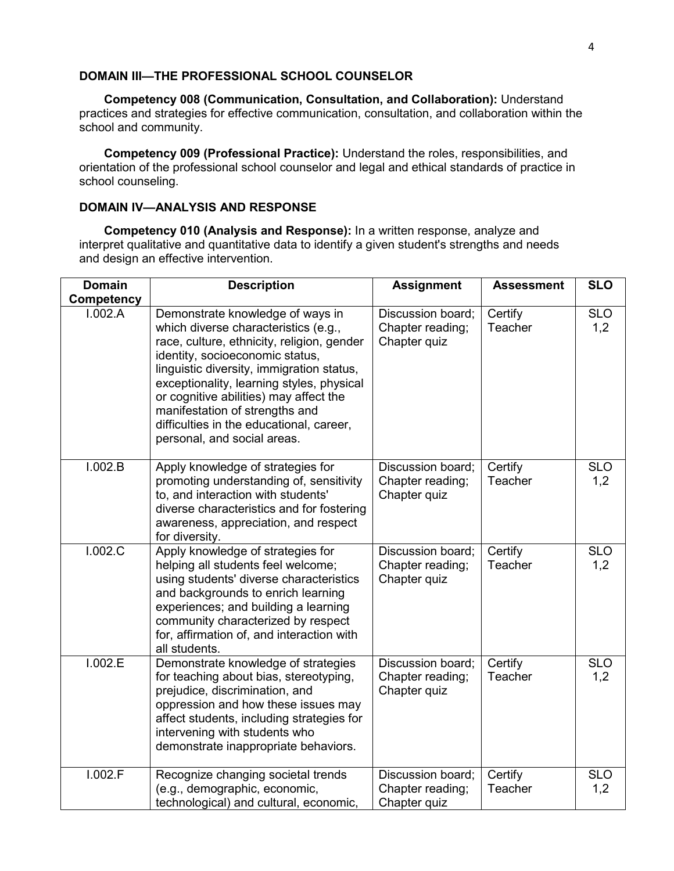## **DOMAIN III—THE PROFESSIONAL SCHOOL COUNSELOR**

**Competency 008 (Communication, Consultation, and Collaboration):** Understand practices and strategies for effective communication, consultation, and collaboration within the school and community.

**Competency 009 (Professional Practice):** Understand the roles, responsibilities, and orientation of the professional school counselor and legal and ethical standards of practice in school counseling.

## **DOMAIN IV—ANALYSIS AND RESPONSE**

**Competency 010 (Analysis and Response):** In a written response, analyze and interpret qualitative and quantitative data to identify a given student's strengths and needs and design an effective intervention.

| <b>Domain</b> | <b>Description</b>                                                                                                                                                                                                                                                                                                                                                                                         | <b>Assignment</b>                                     | <b>Assessment</b>  | <b>SLO</b>        |  |
|---------------|------------------------------------------------------------------------------------------------------------------------------------------------------------------------------------------------------------------------------------------------------------------------------------------------------------------------------------------------------------------------------------------------------------|-------------------------------------------------------|--------------------|-------------------|--|
| Competency    |                                                                                                                                                                                                                                                                                                                                                                                                            |                                                       |                    |                   |  |
| 1.002.A       | Demonstrate knowledge of ways in<br>which diverse characteristics (e.g.,<br>race, culture, ethnicity, religion, gender<br>identity, socioeconomic status,<br>linguistic diversity, immigration status,<br>exceptionality, learning styles, physical<br>or cognitive abilities) may affect the<br>manifestation of strengths and<br>difficulties in the educational, career,<br>personal, and social areas. | Discussion board;<br>Chapter reading;<br>Chapter quiz | Certify<br>Teacher | <b>SLO</b><br>1,2 |  |
| 1.002.B       | Apply knowledge of strategies for<br>promoting understanding of, sensitivity<br>to, and interaction with students'<br>diverse characteristics and for fostering<br>awareness, appreciation, and respect<br>for diversity.                                                                                                                                                                                  | Discussion board;<br>Chapter reading;<br>Chapter quiz | Certify<br>Teacher | <b>SLO</b><br>1,2 |  |
| I.002.C       | Apply knowledge of strategies for<br>helping all students feel welcome;<br>using students' diverse characteristics<br>and backgrounds to enrich learning<br>experiences; and building a learning<br>community characterized by respect<br>for, affirmation of, and interaction with<br>all students.                                                                                                       | Discussion board;<br>Chapter reading;<br>Chapter quiz | Certify<br>Teacher | <b>SLO</b><br>1,2 |  |
| 1.002.E       | Demonstrate knowledge of strategies<br>for teaching about bias, stereotyping,<br>prejudice, discrimination, and<br>oppression and how these issues may<br>affect students, including strategies for<br>intervening with students who<br>demonstrate inappropriate behaviors.                                                                                                                               | Discussion board;<br>Chapter reading;<br>Chapter quiz | Certify<br>Teacher | <b>SLO</b><br>1,2 |  |
| 1.002.F       | Recognize changing societal trends<br>(e.g., demographic, economic,<br>technological) and cultural, economic,                                                                                                                                                                                                                                                                                              | Discussion board;<br>Chapter reading;<br>Chapter quiz | Certify<br>Teacher | <b>SLO</b><br>1,2 |  |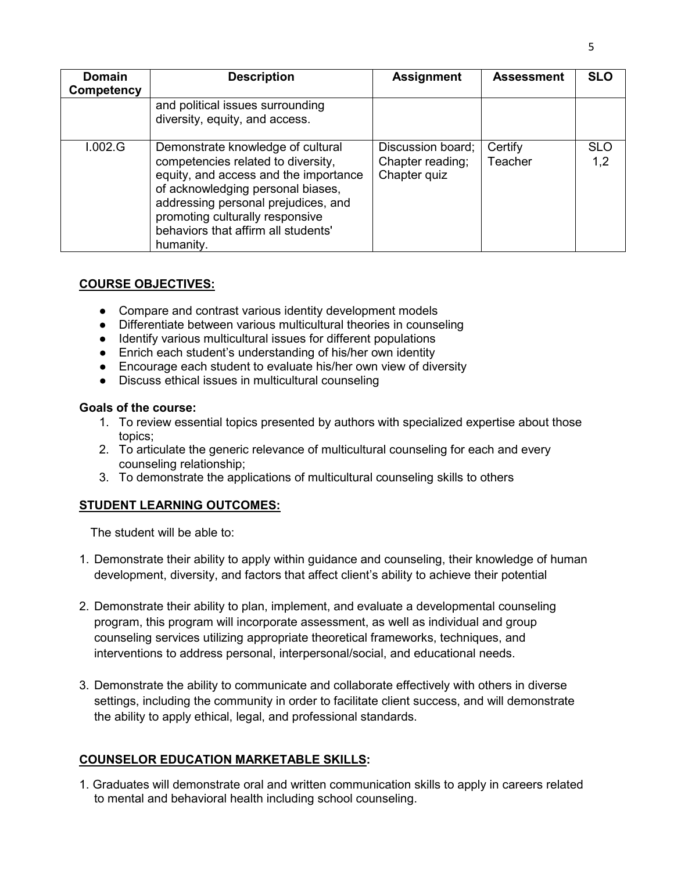| <b>Domain</b><br>Competency | <b>Description</b>                                                                                                                                                                                                                                                                  | <b>Assignment</b>                                     | <b>Assessment</b>  | <b>SLO</b>        |
|-----------------------------|-------------------------------------------------------------------------------------------------------------------------------------------------------------------------------------------------------------------------------------------------------------------------------------|-------------------------------------------------------|--------------------|-------------------|
|                             | and political issues surrounding<br>diversity, equity, and access.                                                                                                                                                                                                                  |                                                       |                    |                   |
| 1.002.G                     | Demonstrate knowledge of cultural<br>competencies related to diversity,<br>equity, and access and the importance<br>of acknowledging personal biases,<br>addressing personal prejudices, and<br>promoting culturally responsive<br>behaviors that affirm all students'<br>humanity. | Discussion board;<br>Chapter reading;<br>Chapter quiz | Certify<br>Teacher | <b>SLO</b><br>1,2 |

## **COURSE OBJECTIVES:**

- Compare and contrast various identity development models
- Differentiate between various multicultural theories in counseling
- Identify various multicultural issues for different populations
- Enrich each student's understanding of his/her own identity
- Encourage each student to evaluate his/her own view of diversity
- Discuss ethical issues in multicultural counseling

#### **Goals of the course:**

- 1. To review essential topics presented by authors with specialized expertise about those topics;
- 2. To articulate the generic relevance of multicultural counseling for each and every counseling relationship;
- 3. To demonstrate the applications of multicultural counseling skills to others

## **STUDENT LEARNING OUTCOMES:**

The student will be able to:

- 1. Demonstrate their ability to apply within guidance and counseling, their knowledge of human development, diversity, and factors that affect client's ability to achieve their potential
- 2. Demonstrate their ability to plan, implement, and evaluate a developmental counseling program, this program will incorporate assessment, as well as individual and group counseling services utilizing appropriate theoretical frameworks, techniques, and interventions to address personal, interpersonal/social, and educational needs.
- 3. Demonstrate the ability to communicate and collaborate effectively with others in diverse settings, including the community in order to facilitate client success, and will demonstrate the ability to apply ethical, legal, and professional standards.

## **COUNSELOR EDUCATION MARKETABLE SKILLS:**

1. Graduates will demonstrate oral and written communication skills to apply in careers related to mental and behavioral health including school counseling.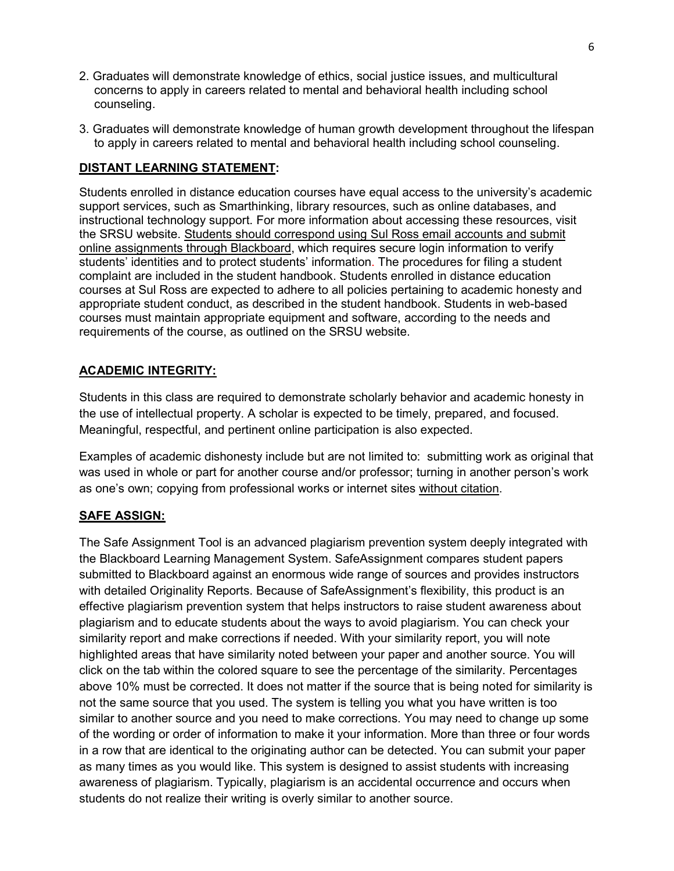- 2. Graduates will demonstrate knowledge of ethics, social justice issues, and multicultural concerns to apply in careers related to mental and behavioral health including school counseling.
- 3. Graduates will demonstrate knowledge of human growth development throughout the lifespan to apply in careers related to mental and behavioral health including school counseling.

# **DISTANT LEARNING STATEMENT:**

Students enrolled in distance education courses have equal access to the university's academic support services, such as Smarthinking, library resources, such as online databases, and instructional technology support. For more information about accessing these resources, visit the SRSU website. Students should correspond using Sul Ross email accounts and submit online assignments through Blackboard, which requires secure login information to verify students' identities and to protect students' information. The procedures for filing a student complaint are included in the student handbook. Students enrolled in distance education courses at Sul Ross are expected to adhere to all policies pertaining to academic honesty and appropriate student conduct, as described in the student handbook. Students in web-based courses must maintain appropriate equipment and software, according to the needs and requirements of the course, as outlined on the SRSU website.

## **ACADEMIC INTEGRITY:**

Students in this class are required to demonstrate scholarly behavior and academic honesty in the use of intellectual property. A scholar is expected to be timely, prepared, and focused. Meaningful, respectful, and pertinent online participation is also expected.

Examples of academic dishonesty include but are not limited to: submitting work as original that was used in whole or part for another course and/or professor; turning in another person's work as one's own; copying from professional works or internet sites without citation.

## **SAFE ASSIGN:**

The Safe Assignment Tool is an advanced plagiarism prevention system deeply integrated with the Blackboard Learning Management System. SafeAssignment compares student papers submitted to Blackboard against an enormous wide range of sources and provides instructors with detailed Originality Reports. Because of SafeAssignment's flexibility, this product is an effective plagiarism prevention system that helps instructors to raise student awareness about plagiarism and to educate students about the ways to avoid plagiarism. You can check your similarity report and make corrections if needed. With your similarity report, you will note highlighted areas that have similarity noted between your paper and another source. You will click on the tab within the colored square to see the percentage of the similarity. Percentages above 10% must be corrected. It does not matter if the source that is being noted for similarity is not the same source that you used. The system is telling you what you have written is too similar to another source and you need to make corrections. You may need to change up some of the wording or order of information to make it your information. More than three or four words in a row that are identical to the originating author can be detected. You can submit your paper as many times as you would like. This system is designed to assist students with increasing awareness of plagiarism. Typically, plagiarism is an accidental occurrence and occurs when students do not realize their writing is overly similar to another source.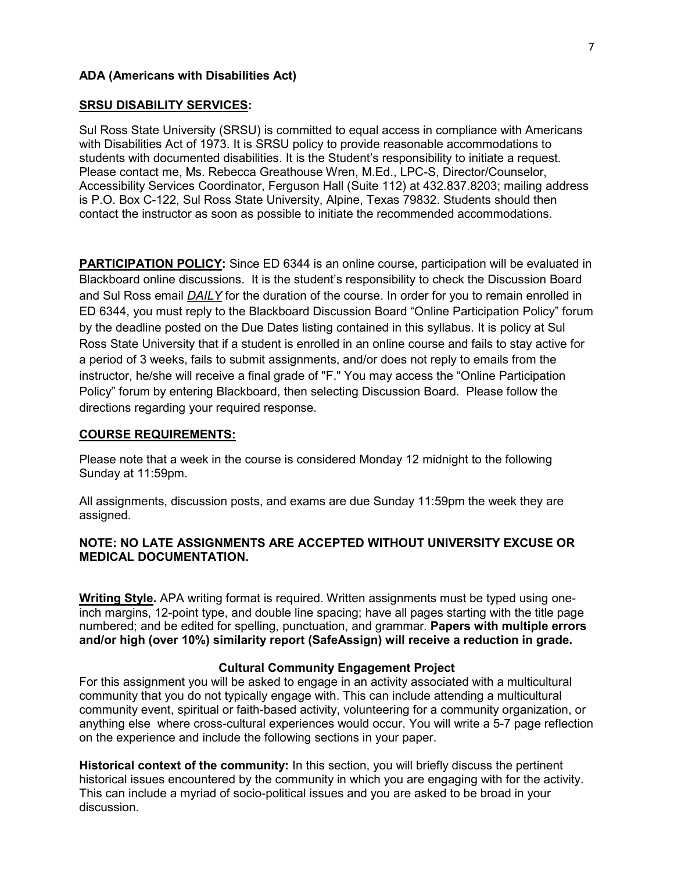#### **ADA (Americans with Disabilities Act)**

#### **SRSU DISABILITY SERVICES:**

Sul Ross State University (SRSU) is committed to equal access in compliance with Americans with Disabilities Act of 1973. It is SRSU policy to provide reasonable accommodations to students with documented disabilities. It is the Student's responsibility to initiate a request. Please contact me, Ms. Rebecca Greathouse Wren, M.Ed., LPC-S, Director/Counselor, Accessibility Services Coordinator, Ferguson Hall (Suite 112) at 432.837.8203; mailing address is P.O. Box C-122, Sul Ross State University, Alpine, Texas 79832. Students should then contact the instructor as soon as possible to initiate the recommended accommodations.

**PARTICIPATION POLICY:** Since ED 6344 is an online course, participation will be evaluated in Blackboard online discussions. It is the student's responsibility to check the Discussion Board and Sul Ross email *DAILY* for the duration of the course. In order for you to remain enrolled in ED 6344, you must reply to the Blackboard Discussion Board "Online Participation Policy" forum by the deadline posted on the Due Dates listing contained in this syllabus. It is policy at Sul Ross State University that if a student is enrolled in an online course and fails to stay active for a period of 3 weeks, fails to submit assignments, and/or does not reply to emails from the instructor, he/she will receive a final grade of "F." You may access the "Online Participation Policy" forum by entering Blackboard, then selecting Discussion Board. Please follow the directions regarding your required response.

#### **COURSE REQUIREMENTS:**

Please note that a week in the course is considered Monday 12 midnight to the following Sunday at 11:59pm.

All assignments, discussion posts, and exams are due Sunday 11:59pm the week they are assigned.

## **NOTE: NO LATE ASSIGNMENTS ARE ACCEPTED WITHOUT UNIVERSITY EXCUSE OR MEDICAL DOCUMENTATION.**

**Writing Style.** APA writing format is required. Written assignments must be typed using oneinch margins, 12-point type, and double line spacing; have all pages starting with the title page numbered; and be edited for spelling, punctuation, and grammar. **Papers with multiple errors and/or high (over 10%) similarity report (SafeAssign) will receive a reduction in grade.**

#### **Cultural Community Engagement Project**

For this assignment you will be asked to engage in an activity associated with a multicultural community that you do not typically engage with. This can include attending a multicultural community event, spiritual or faith-based activity, volunteering for a community organization, or anything else where cross-cultural experiences would occur. You will write a 5-7 page reflection on the experience and include the following sections in your paper.

**Historical context of the community:** In this section, you will briefly discuss the pertinent historical issues encountered by the community in which you are engaging with for the activity. This can include a myriad of socio-political issues and you are asked to be broad in your discussion.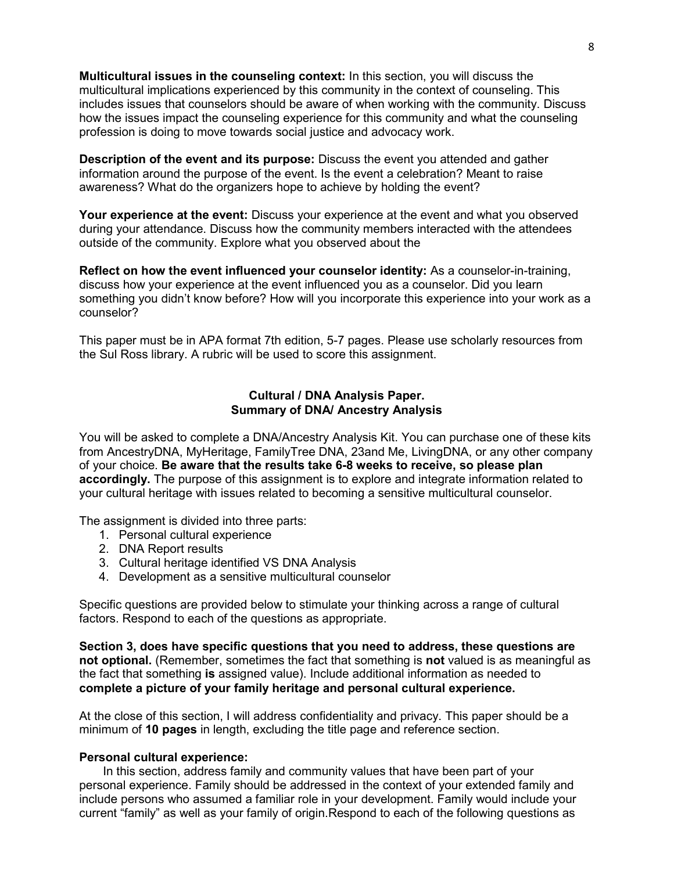**Multicultural issues in the counseling context:** In this section, you will discuss the multicultural implications experienced by this community in the context of counseling. This includes issues that counselors should be aware of when working with the community. Discuss how the issues impact the counseling experience for this community and what the counseling profession is doing to move towards social justice and advocacy work.

**Description of the event and its purpose:** Discuss the event you attended and gather information around the purpose of the event. Is the event a celebration? Meant to raise awareness? What do the organizers hope to achieve by holding the event?

**Your experience at the event:** Discuss your experience at the event and what you observed during your attendance. Discuss how the community members interacted with the attendees outside of the community. Explore what you observed about the

**Reflect on how the event influenced your counselor identity:** As a counselor-in-training, discuss how your experience at the event influenced you as a counselor. Did you learn something you didn't know before? How will you incorporate this experience into your work as a counselor?

This paper must be in APA format 7th edition, 5-7 pages. Please use scholarly resources from the Sul Ross library. A rubric will be used to score this assignment.

#### **Cultural / DNA Analysis Paper. Summary of DNA/ Ancestry Analysis**

You will be asked to complete a DNA/Ancestry Analysis Kit. You can purchase one of these kits from AncestryDNA, MyHeritage, FamilyTree DNA, 23and Me, LivingDNA, or any other company of your choice. **Be aware that the results take 6-8 weeks to receive, so please plan accordingly.** The purpose of this assignment is to explore and integrate information related to your cultural heritage with issues related to becoming a sensitive multicultural counselor.

The assignment is divided into three parts:

- 1. Personal cultural experience
- 2. DNA Report results
- 3. Cultural heritage identified VS DNA Analysis
- 4. Development as a sensitive multicultural counselor

Specific questions are provided below to stimulate your thinking across a range of cultural factors. Respond to each of the questions as appropriate.

**Section 3, does have specific questions that you need to address, these questions are not optional.** (Remember, sometimes the fact that something is **not** valued is as meaningful as the fact that something **is** assigned value). Include additional information as needed to **complete a picture of your family heritage and personal cultural experience.**

At the close of this section, I will address confidentiality and privacy. This paper should be a minimum of **10 pages** in length, excluding the title page and reference section.

#### **Personal cultural experience:**

In this section, address family and community values that have been part of your personal experience. Family should be addressed in the context of your extended family and include persons who assumed a familiar role in your development. Family would include your current "family" as well as your family of origin.Respond to each of the following questions as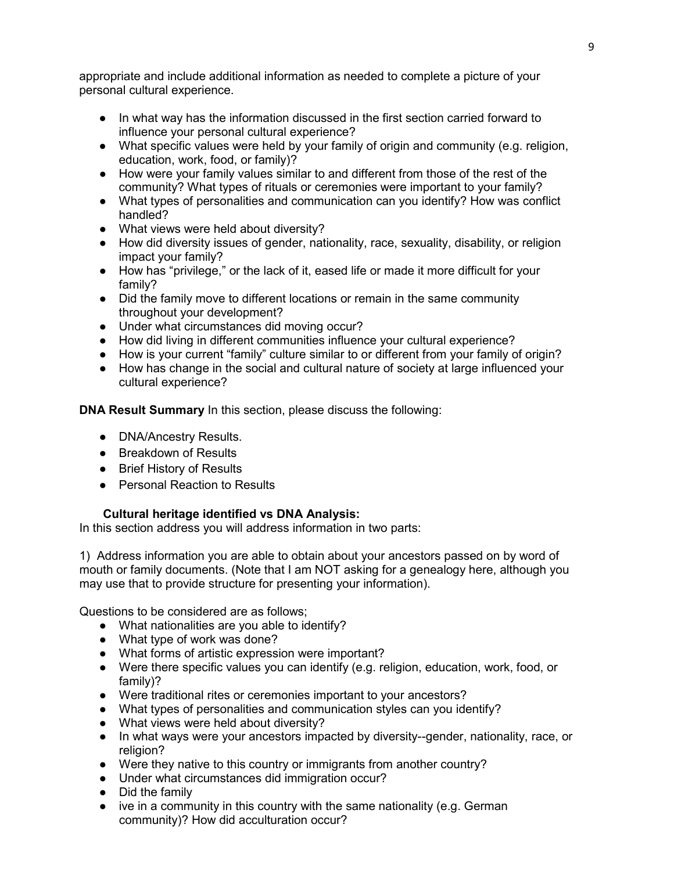appropriate and include additional information as needed to complete a picture of your personal cultural experience.

- In what way has the information discussed in the first section carried forward to influence your personal cultural experience?
- What specific values were held by your family of origin and community (e.g. religion, education, work, food, or family)?
- How were your family values similar to and different from those of the rest of the community? What types of rituals or ceremonies were important to your family?
- What types of personalities and communication can you identify? How was conflict handled?
- What views were held about diversity?
- How did diversity issues of gender, nationality, race, sexuality, disability, or religion impact your family?
- How has "privilege," or the lack of it, eased life or made it more difficult for your family?
- Did the family move to different locations or remain in the same community throughout your development?
- Under what circumstances did moving occur?
- How did living in different communities influence your cultural experience?
- How is your current "family" culture similar to or different from your family of origin?
- How has change in the social and cultural nature of society at large influenced your cultural experience?

**DNA Result Summary** In this section, please discuss the following:

- DNA/Ancestry Results.
- Breakdown of Results
- Brief History of Results
- Personal Reaction to Results

## **Cultural heritage identified vs DNA Analysis:**

In this section address you will address information in two parts:

1) Address information you are able to obtain about your ancestors passed on by word of mouth or family documents. (Note that I am NOT asking for a genealogy here, although you may use that to provide structure for presenting your information).

Questions to be considered are as follows;

- What nationalities are you able to identify?
- What type of work was done?
- What forms of artistic expression were important?
- Were there specific values you can identify (e.g. religion, education, work, food, or family)?
- Were traditional rites or ceremonies important to your ancestors?
- What types of personalities and communication styles can you identify?
- What views were held about diversity?
- In what ways were your ancestors impacted by diversity--gender, nationality, race, or religion?
- Were they native to this country or immigrants from another country?
- Under what circumstances did immigration occur?
- Did the family
- $\bullet$  ive in a community in this country with the same nationality (e.g. German community)? How did acculturation occur?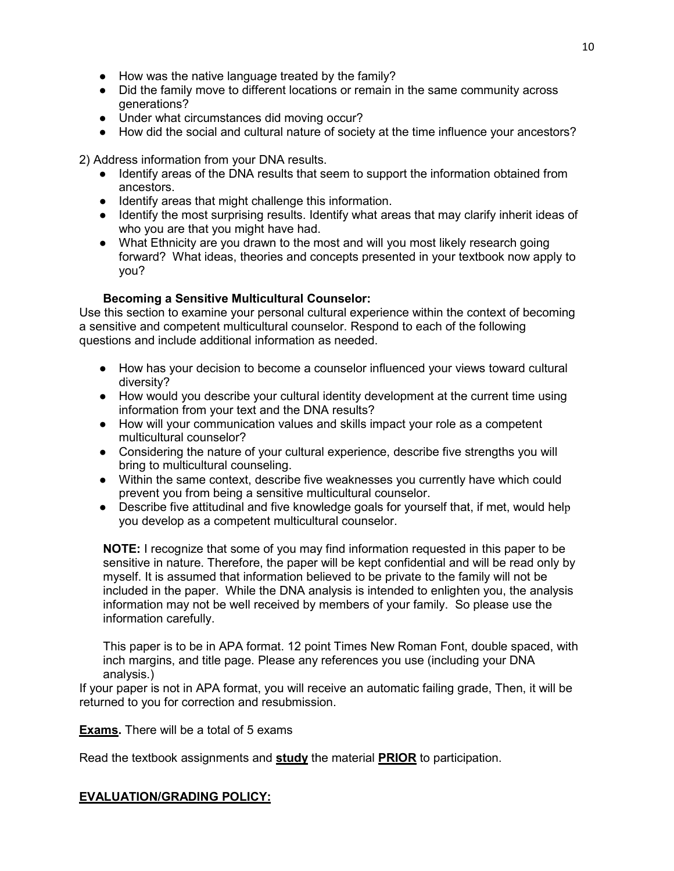- How was the native language treated by the family?
- Did the family move to different locations or remain in the same community across generations?
- Under what circumstances did moving occur?
- How did the social and cultural nature of society at the time influence your ancestors?

2) Address information from your DNA results.

- Identify areas of the DNA results that seem to support the information obtained from ancestors.
- Identify areas that might challenge this information.
- Identify the most surprising results. Identify what areas that may clarify inherit ideas of who you are that you might have had.
- What Ethnicity are you drawn to the most and will you most likely research going forward? What ideas, theories and concepts presented in your textbook now apply to you?

# **Becoming a Sensitive Multicultural Counselor:**

Use this section to examine your personal cultural experience within the context of becoming a sensitive and competent multicultural counselor. Respond to each of the following questions and include additional information as needed.

- How has your decision to become a counselor influenced your views toward cultural diversity?
- How would you describe your cultural identity development at the current time using information from your text and the DNA results?
- How will your communication values and skills impact your role as a competent multicultural counselor?
- Considering the nature of your cultural experience, describe five strengths you will bring to multicultural counseling.
- Within the same context, describe five weaknesses you currently have which could prevent you from being a sensitive multicultural counselor.
- Describe five attitudinal and five knowledge goals for yourself that, if met, would help you develop as a competent multicultural counselor.

**NOTE:** I recognize that some of you may find information requested in this paper to be sensitive in nature. Therefore, the paper will be kept confidential and will be read only by myself. It is assumed that information believed to be private to the family will not be included in the paper. While the DNA analysis is intended to enlighten you, the analysis information may not be well received by members of your family. So please use the information carefully.

This paper is to be in APA format. 12 point Times New Roman Font, double spaced, with inch margins, and title page. Please any references you use (including your DNA analysis.)

If your paper is not in APA format, you will receive an automatic failing grade, Then, it will be returned to you for correction and resubmission.

**Exams.** There will be a total of 5 exams

Read the textbook assignments and **study** the material **PRIOR** to participation.

## **EVALUATION/GRADING POLICY:**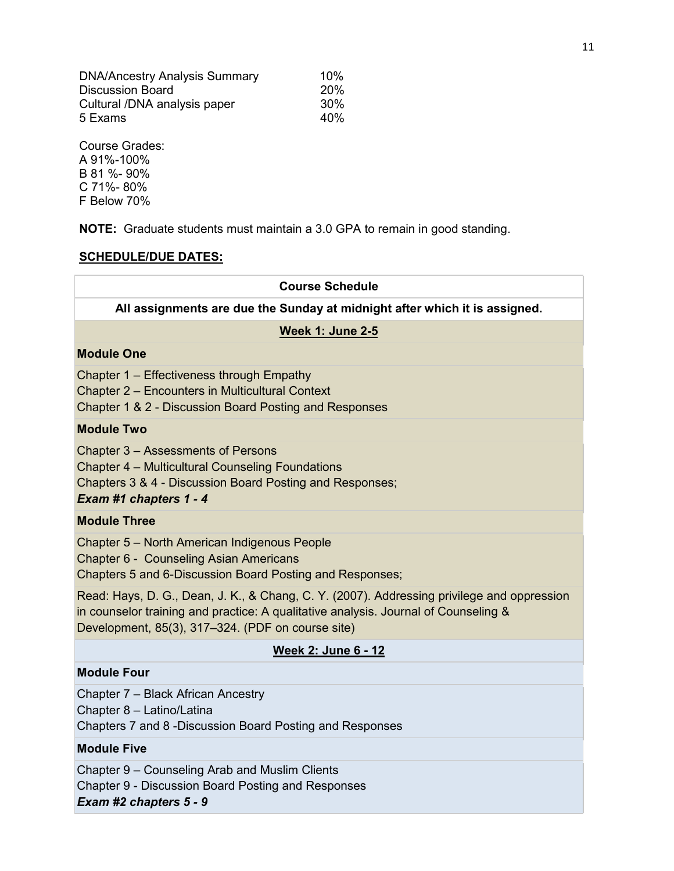| <b>DNA/Ancestry Analysis Summary</b> | 10%             |
|--------------------------------------|-----------------|
| <b>Discussion Board</b>              | <b>20%</b>      |
| Cultural /DNA analysis paper         | 30%             |
| 5 Exams                              | 40 <sub>%</sub> |

Course Grades: A 91%-100% B 81 %- 90% C 71%- 80% F Below 70%

**NOTE:** Graduate students must maintain a 3.0 GPA to remain in good standing.

## **SCHEDULE/DUE DATES:**

# **Course Schedule All assignments are due the Sunday at midnight after which it is assigned. Week 1: June 2-5 Module One** Chapter 1 – Effectiveness through Empathy Chapter 2 – Encounters in Multicultural Context Chapter 1 & 2 - Discussion Board Posting and Responses **Module Two** Chapter 3 – Assessments of Persons Chapter 4 – Multicultural Counseling Foundations Chapters 3 & 4 - Discussion Board Posting and Responses; *Exam #1 chapters 1 - 4* **Module Three** Chapter 5 – North American Indigenous People Chapter 6 - Counseling Asian Americans Chapters 5 and 6-Discussion Board Posting and Responses; Read: Hays, D. G., Dean, J. K., & Chang, C. Y. (2007). Addressing privilege and oppression in counselor training and practice: A qualitative analysis. Journal of Counseling & Development, 85(3), 317–324. (PDF on course site)

## **Week 2: June 6 - 12**

#### **Module Four**

Chapter 7 – Black African Ancestry

Chapter 8 – Latino/Latina

Chapters 7 and 8 -Discussion Board Posting and Responses

#### **Module Five**

Chapter 9 – Counseling Arab and Muslim Clients

Chapter 9 - Discussion Board Posting and Responses

*Exam #2 chapters 5 - 9*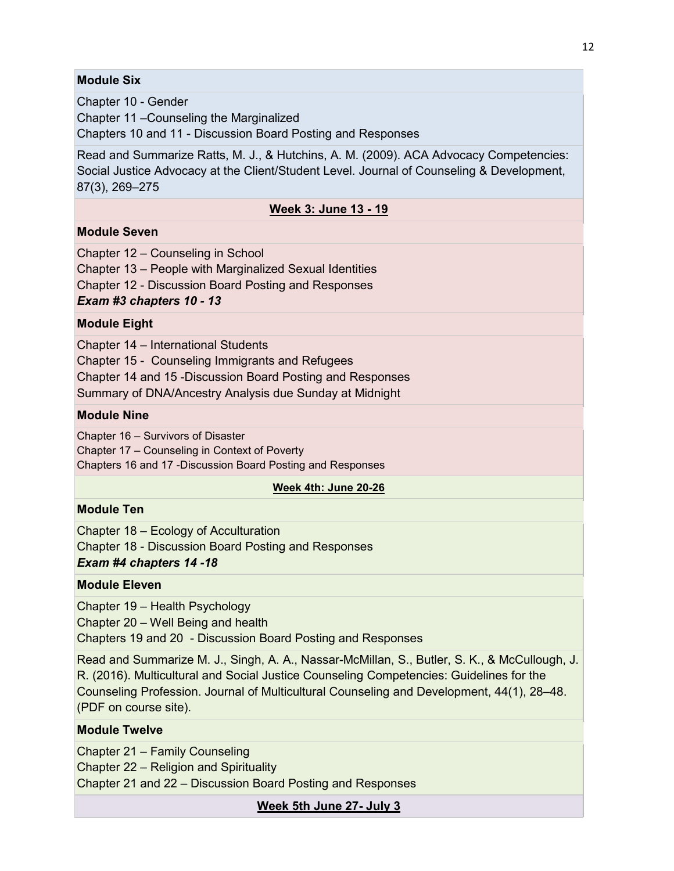## **Module Six**

Chapter 10 - Gender

Chapter 11 –Counseling the Marginalized

Chapters 10 and 11 - Discussion Board Posting and Responses

Read and Summarize Ratts, M. J., & Hutchins, A. M. (2009). ACA Advocacy Competencies: Social Justice Advocacy at the Client/Student Level. Journal of Counseling & Development, 87(3), 269–275

## **Week 3: June 13 - 19**

## **Module Seven**

Chapter 12 – Counseling in School

Chapter 13 – People with Marginalized Sexual Identities

Chapter 12 - Discussion Board Posting and Responses

*Exam #3 chapters 10 - 13*

#### **Module Eight**

Chapter 14 – International Students

Chapter 15 - Counseling Immigrants and Refugees

Chapter 14 and 15 -Discussion Board Posting and Responses

Summary of DNA/Ancestry Analysis due Sunday at Midnight

#### **Module Nine**

Chapter 16 – Survivors of Disaster

Chapter 17 – Counseling in Context of Poverty

Chapters 16 and 17 -Discussion Board Posting and Responses

#### **Week 4th: June 20-26**

## **Module Ten**

Chapter 18 – Ecology of Acculturation

Chapter 18 - Discussion Board Posting and Responses

## *Exam #4 chapters 14 -18*

## **Module Eleven**

Chapter 19 – Health Psychology

Chapter 20 – Well Being and health

Chapters 19 and 20 - Discussion Board Posting and Responses

Read and Summarize M. J., Singh, A. A., Nassar-McMillan, S., Butler, S. K., & McCullough, J. R. (2016). Multicultural and Social Justice Counseling Competencies: Guidelines for the Counseling Profession. Journal of Multicultural Counseling and Development, 44(1), 28–48. (PDF on course site).

## **Module Twelve**

Chapter 21 – Family Counseling

Chapter 22 – Religion and Spirituality

Chapter 21 and 22 – Discussion Board Posting and Responses

**Week 5th June 27- July 3**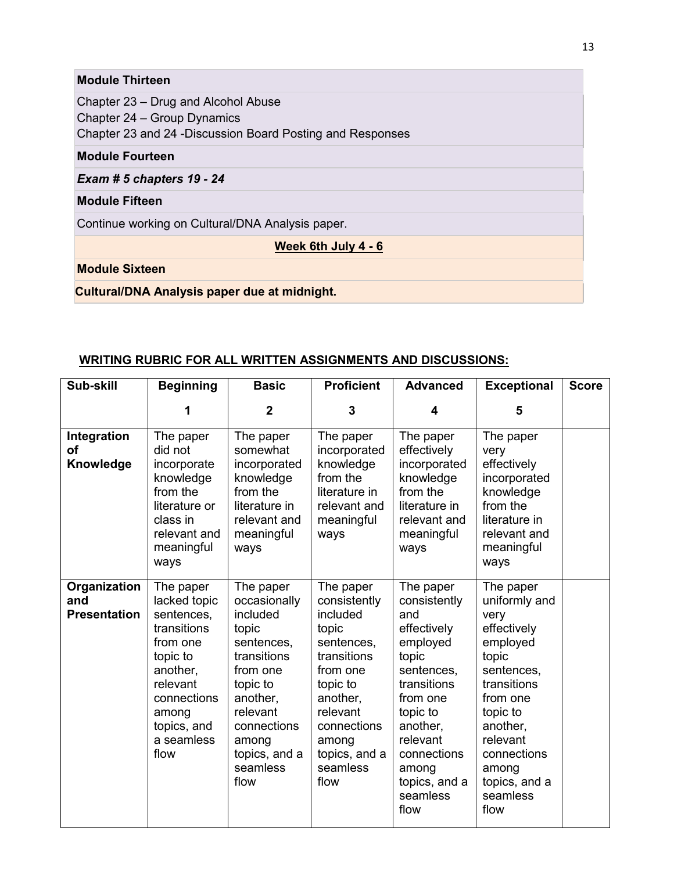# **Module Thirteen**

Chapter 23 – Drug and Alcohol Abuse Chapter 24 – Group Dynamics Chapter 23 and 24 -Discussion Board Posting and Responses

## **Module Fourteen**

*Exam # 5 chapters 19 - 24* 

## **Module Fifteen**

Continue working on Cultural/DNA Analysis paper.

**Week 6th July 4 - 6** 

# **Module Sixteen**

## **Cultural/DNA Analysis paper due at midnight.**

## **WRITING RUBRIC FOR ALL WRITTEN ASSIGNMENTS AND DISCUSSIONS:**

| Sub-skill                                  | <b>Beginning</b>                                                                                                                                                    | <b>Basic</b>                                                                                                                                                                             | <b>Proficient</b>                                                                                                                                                                        | <b>Advanced</b>                                                                                                                                                                                                | <b>Exceptional</b>                                                                                                                                                                                               | <b>Score</b> |
|--------------------------------------------|---------------------------------------------------------------------------------------------------------------------------------------------------------------------|------------------------------------------------------------------------------------------------------------------------------------------------------------------------------------------|------------------------------------------------------------------------------------------------------------------------------------------------------------------------------------------|----------------------------------------------------------------------------------------------------------------------------------------------------------------------------------------------------------------|------------------------------------------------------------------------------------------------------------------------------------------------------------------------------------------------------------------|--------------|
|                                            | 1                                                                                                                                                                   | $\mathbf 2$                                                                                                                                                                              | 3                                                                                                                                                                                        | 4                                                                                                                                                                                                              | 5                                                                                                                                                                                                                |              |
| Integration<br>οf<br>Knowledge             | The paper<br>did not<br>incorporate<br>knowledge<br>from the<br>literature or<br>class in<br>relevant and<br>meaningful<br>ways                                     | The paper<br>somewhat<br>incorporated<br>knowledge<br>from the<br>literature in<br>relevant and<br>meaningful<br>ways                                                                    | The paper<br>incorporated<br>knowledge<br>from the<br>literature in<br>relevant and<br>meaningful<br>ways                                                                                | The paper<br>effectively<br>incorporated<br>knowledge<br>from the<br>literature in<br>relevant and<br>meaningful<br>ways                                                                                       | The paper<br>very<br>effectively<br>incorporated<br>knowledge<br>from the<br>literature in<br>relevant and<br>meaningful<br>ways                                                                                 |              |
| Organization<br>and<br><b>Presentation</b> | The paper<br>lacked topic<br>sentences,<br>transitions<br>from one<br>topic to<br>another.<br>relevant<br>connections<br>among<br>topics, and<br>a seamless<br>flow | The paper<br>occasionally<br>included<br>topic<br>sentences,<br>transitions<br>from one<br>topic to<br>another,<br>relevant<br>connections<br>among<br>topics, and a<br>seamless<br>flow | The paper<br>consistently<br>included<br>topic<br>sentences,<br>transitions<br>from one<br>topic to<br>another,<br>relevant<br>connections<br>among<br>topics, and a<br>seamless<br>flow | The paper<br>consistently<br>and<br>effectively<br>employed<br>topic<br>sentences,<br>transitions<br>from one<br>topic to<br>another,<br>relevant<br>connections<br>among<br>topics, and a<br>seamless<br>flow | The paper<br>uniformly and<br>very<br>effectively<br>employed<br>topic<br>sentences,<br>transitions<br>from one<br>topic to<br>another,<br>relevant<br>connections<br>among<br>topics, and a<br>seamless<br>flow |              |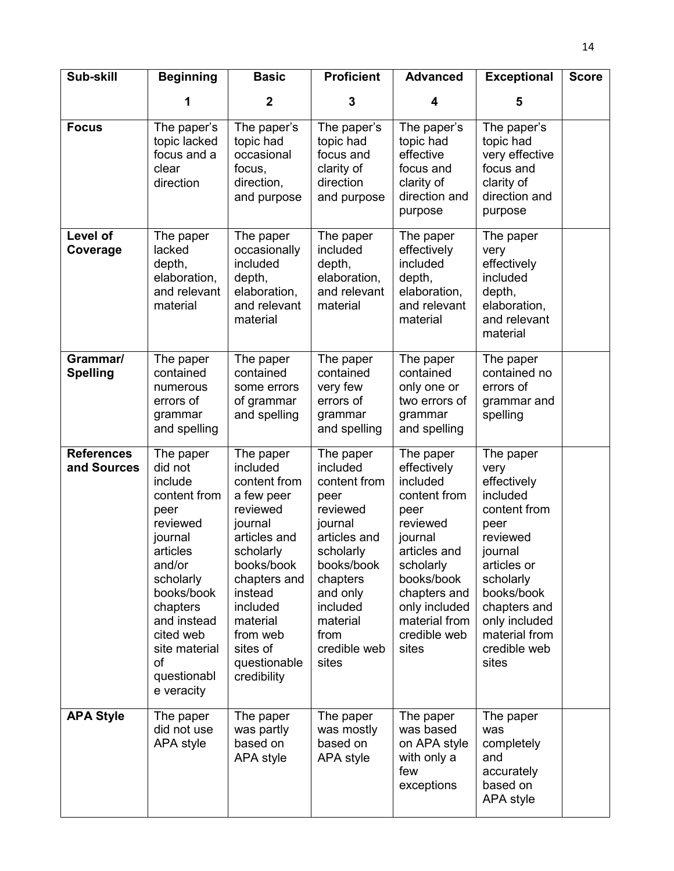| Sub-skill                        | <b>Beginning</b>                                                                                                                                                                                                            | <b>Basic</b>                                                                                                                                                                                                                    | <b>Proficient</b>                                                                                                                                                                                | <b>Advanced</b>                                                                                                                                                                                           | <b>Exceptional</b>                                                                                                                                                                                               | <b>Score</b> |
|----------------------------------|-----------------------------------------------------------------------------------------------------------------------------------------------------------------------------------------------------------------------------|---------------------------------------------------------------------------------------------------------------------------------------------------------------------------------------------------------------------------------|--------------------------------------------------------------------------------------------------------------------------------------------------------------------------------------------------|-----------------------------------------------------------------------------------------------------------------------------------------------------------------------------------------------------------|------------------------------------------------------------------------------------------------------------------------------------------------------------------------------------------------------------------|--------------|
|                                  | 1                                                                                                                                                                                                                           | $\overline{2}$                                                                                                                                                                                                                  | 3                                                                                                                                                                                                | 4                                                                                                                                                                                                         | 5                                                                                                                                                                                                                |              |
| <b>Focus</b>                     | The paper's<br>topic lacked<br>focus and a<br>clear<br>direction                                                                                                                                                            | The paper's<br>topic had<br>occasional<br>focus,<br>direction,<br>and purpose                                                                                                                                                   | The paper's<br>topic had<br>focus and<br>clarity of<br>direction<br>and purpose                                                                                                                  | The paper's<br>topic had<br>effective<br>focus and<br>clarity of<br>direction and<br>purpose                                                                                                              | The paper's<br>topic had<br>very effective<br>focus and<br>clarity of<br>direction and<br>purpose                                                                                                                |              |
| Level of<br>Coverage             | The paper<br>lacked<br>depth,<br>elaboration,<br>and relevant<br>material                                                                                                                                                   | The paper<br>occasionally<br>included<br>depth,<br>elaboration,<br>and relevant<br>material                                                                                                                                     | The paper<br>included<br>depth,<br>elaboration,<br>and relevant<br>material                                                                                                                      | The paper<br>effectively<br>included<br>depth,<br>elaboration,<br>and relevant<br>material                                                                                                                | The paper<br>very<br>effectively<br>included<br>depth,<br>elaboration,<br>and relevant<br>material                                                                                                               |              |
| Grammar/<br><b>Spelling</b>      | The paper<br>contained<br>numerous<br>errors of<br>grammar<br>and spelling                                                                                                                                                  | The paper<br>contained<br>some errors<br>of grammar<br>and spelling                                                                                                                                                             | The paper<br>contained<br>very few<br>errors of<br>grammar<br>and spelling                                                                                                                       | The paper<br>contained<br>only one or<br>two errors of<br>grammar<br>and spelling                                                                                                                         | The paper<br>contained no<br>errors of<br>grammar and<br>spelling                                                                                                                                                |              |
| <b>References</b><br>and Sources | The paper<br>did not<br>include<br>content from<br>peer<br>reviewed<br>journal<br>articles<br>and/or<br>scholarly<br>books/book<br>chapters<br>and instead<br>cited web<br>site material<br>of<br>questionabl<br>e veracity | The paper<br>included<br>content from<br>a few peer<br>reviewed<br>journal<br>articles and<br>scholarly<br>books/book<br>chapters and<br>instead<br>included<br>material<br>from web<br>sites of<br>questionable<br>credibility | The paper<br>included<br>content from<br>peer<br>reviewed<br>journal<br>articles and<br>scholarly<br>books/book<br>chapters<br>and only<br>included<br>material<br>from<br>credible web<br>sites | The paper<br>effectively<br>included<br>content from<br>peer<br>reviewed<br>journal<br>articles and<br>scholarly<br>books/book<br>chapters and<br>only included<br>material from<br>credible web<br>sites | The paper<br>very<br>effectively<br>included<br>content from<br>peer<br>reviewed<br>journal<br>articles or<br>scholarly<br>books/book<br>chapters and<br>only included<br>material from<br>credible web<br>sites |              |
| <b>APA Style</b>                 | The paper<br>did not use<br>APA style                                                                                                                                                                                       | The paper<br>was partly<br>based on<br>APA style                                                                                                                                                                                | The paper<br>was mostly<br>based on<br>APA style                                                                                                                                                 | The paper<br>was based<br>on APA style<br>with only a<br>few<br>exceptions                                                                                                                                | The paper<br>was<br>completely<br>and<br>accurately<br>based on<br>APA style                                                                                                                                     |              |